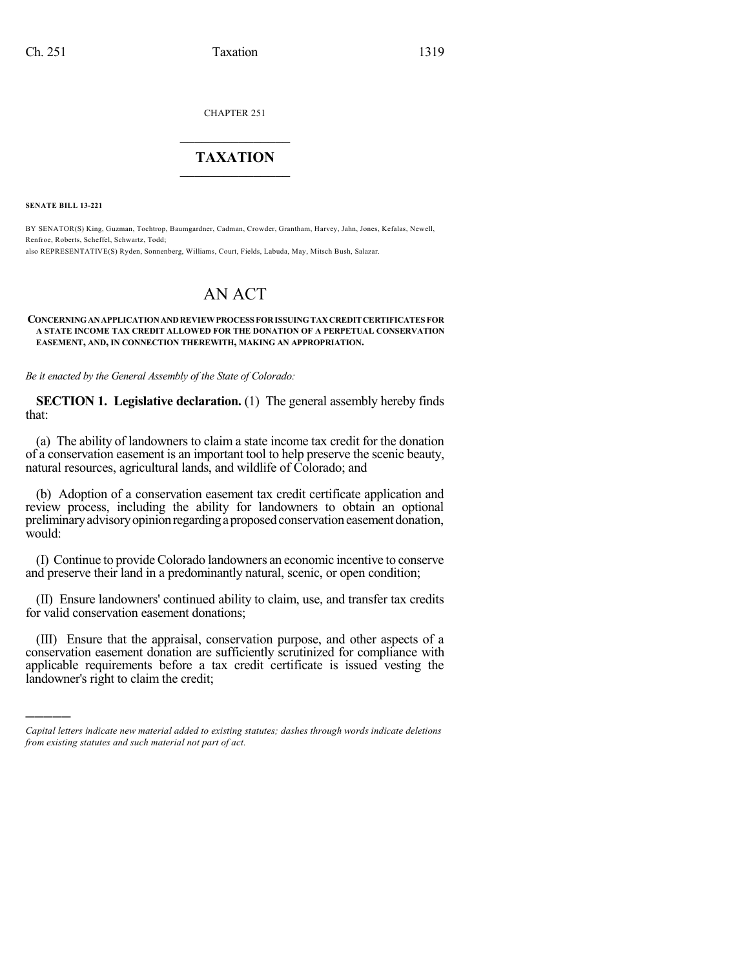CHAPTER 251

## $\mathcal{L}_\text{max}$  . The set of the set of the set of the set of the set of the set of the set of the set of the set of the set of the set of the set of the set of the set of the set of the set of the set of the set of the set **TAXATION**  $\_$

**SENATE BILL 13-221**

)))))

BY SENATOR(S) King, Guzman, Tochtrop, Baumgardner, Cadman, Crowder, Grantham, Harvey, Jahn, Jones, Kefalas, Newell, Renfroe, Roberts, Scheffel, Schwartz, Todd;

also REPRESENTATIVE(S) Ryden, Sonnenberg, Williams, Court, Fields, Labuda, May, Mitsch Bush, Salazar.

# AN ACT

#### **CONCERNINGANAPPLICATIONANDREVIEWPROCESS FORISSUINGTAXCREDITCERTIFICATES FOR A STATE INCOME TAX CREDIT ALLOWED FOR THE DONATION OF A PERPETUAL CONSERVATION EASEMENT, AND, IN CONNECTION THEREWITH, MAKING AN APPROPRIATION.**

*Be it enacted by the General Assembly of the State of Colorado:*

**SECTION 1. Legislative declaration.** (1) The general assembly hereby finds that:

(a) The ability of landowners to claim a state income tax credit for the donation of a conservation easement is an important tool to help preserve the scenic beauty, natural resources, agricultural lands, and wildlife of Colorado; and

(b) Adoption of a conservation easement tax credit certificate application and review process, including the ability for landowners to obtain an optional preliminary advisory opinion regarding a proposed conservation easement donation, would:

(I) Continue to provide Colorado landowners an economic incentive to conserve and preserve their land in a predominantly natural, scenic, or open condition;

(II) Ensure landowners' continued ability to claim, use, and transfer tax credits for valid conservation easement donations;

(III) Ensure that the appraisal, conservation purpose, and other aspects of a conservation easement donation are sufficiently scrutinized for compliance with applicable requirements before a tax credit certificate is issued vesting the landowner's right to claim the credit;

*Capital letters indicate new material added to existing statutes; dashes through words indicate deletions from existing statutes and such material not part of act.*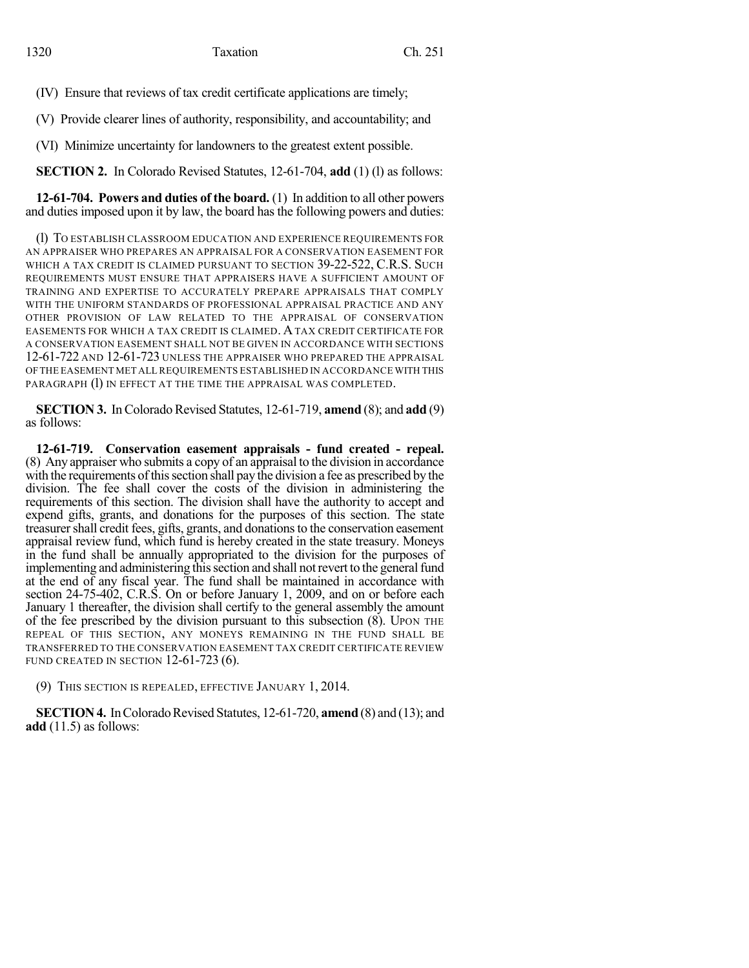(IV) Ensure that reviews of tax credit certificate applications are timely;

(V) Provide clearer lines of authority, responsibility, and accountability; and

(VI) Minimize uncertainty for landowners to the greatest extent possible.

**SECTION 2.** In Colorado Revised Statutes, 12-61-704, **add** (1) (l) as follows:

**12-61-704. Powers and duties of the board.** (1) In addition to all other powers and duties imposed upon it by law, the board has the following powers and duties:

(l) TO ESTABLISH CLASSROOM EDUCATION AND EXPERIENCE REQUIREMENTS FOR AN APPRAISER WHO PREPARES AN APPRAISAL FOR A CONSERVATION EASEMENT FOR WHICH A TAX CREDIT IS CLAIMED PURSUANT TO SECTION 39-22-522, C.R.S. SUCH REQUIREMENTS MUST ENSURE THAT APPRAISERS HAVE A SUFFICIENT AMOUNT OF TRAINING AND EXPERTISE TO ACCURATELY PREPARE APPRAISALS THAT COMPLY WITH THE UNIFORM STANDARDS OF PROFESSIONAL APPRAISAL PRACTICE AND ANY OTHER PROVISION OF LAW RELATED TO THE APPRAISAL OF CONSERVATION EASEMENTS FOR WHICH A TAX CREDIT IS CLAIMED. ATAX CREDIT CERTIFICATE FOR A CONSERVATION EASEMENT SHALL NOT BE GIVEN IN ACCORDANCE WITH SECTIONS 12-61-722 AND 12-61-723 UNLESS THE APPRAISER WHO PREPARED THE APPRAISAL OFTHE EASEMENT MET ALL REQUIREMENTS ESTABLISHED IN ACCORDANCE WITH THIS PARAGRAPH (1) IN EFFECT AT THE TIME THE APPRAISAL WAS COMPLETED.

**SECTION 3.** In Colorado Revised Statutes, 12-61-719, **amend** (8); and **add** (9) as follows:

**12-61-719. Conservation easement appraisals - fund created - repeal.** (8) Any appraiser who submits a copy of an appraisal to the division in accordance with the requirements of this section shall pay the division a fee as prescribed by the division. The fee shall cover the costs of the division in administering the requirements of this section. The division shall have the authority to accept and expend gifts, grants, and donations for the purposes of this section. The state treasurer shall credit fees, gifts, grants, and donations to the conservation easement appraisal review fund, which fund is hereby created in the state treasury. Moneys in the fund shall be annually appropriated to the division for the purposes of implementing and administering this section and shall not revert to the general fund at the end of any fiscal year. The fund shall be maintained in accordance with section 24-75-402, C.R.S. On or before January 1, 2009, and on or before each January 1 thereafter, the division shall certify to the general assembly the amount of the fee prescribed by the division pursuant to this subsection (8). UPON THE REPEAL OF THIS SECTION, ANY MONEYS REMAINING IN THE FUND SHALL BE TRANSFERRED TO THE CONSERVATION EASEMENT TAX CREDIT CERTIFICATE REVIEW FUND CREATED IN SECTION 12-61-723 (6).

(9) THIS SECTION IS REPEALED, EFFECTIVE JANUARY 1, 2014.

**SECTION 4.** In Colorado Revised Statutes, 12-61-720, **amend** (8) and (13); and **add** (11.5) as follows: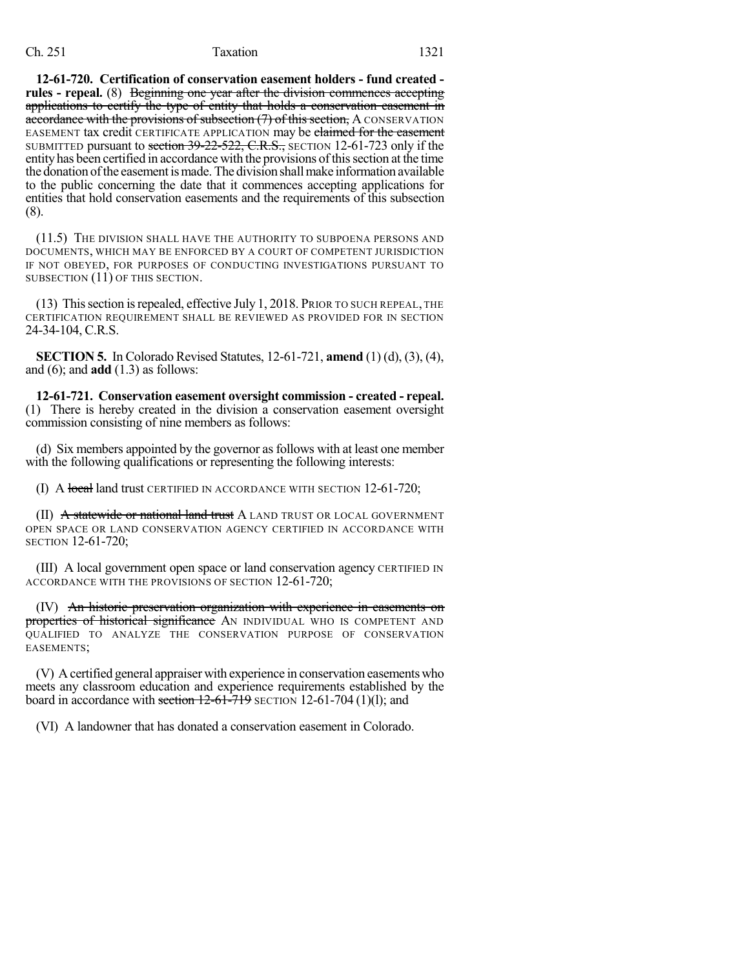**12-61-720. Certification of conservation easement holders - fund created rules - repeal.** (8) Beginning one year after the division commences accepting applications to certify the type of entity that holds a conservation easement in accordance with the provisions of subsection  $(7)$  of this section, A CONSERVATION EASEMENT tax credit CERTIFICATE APPLICATION may be claimed for the easement SUBMITTED pursuant to section 39-22-522, C.R.S., SECTION 12-61-723 only if the entity has been certified in accordance with the provisions of this section at the time the donation of the easement is made. The division shall make information available to the public concerning the date that it commences accepting applications for entities that hold conservation easements and the requirements of this subsection (8).

(11.5) THE DIVISION SHALL HAVE THE AUTHORITY TO SUBPOENA PERSONS AND DOCUMENTS, WHICH MAY BE ENFORCED BY A COURT OF COMPETENT JURISDICTION IF NOT OBEYED, FOR PURPOSES OF CONDUCTING INVESTIGATIONS PURSUANT TO SUBSECTION (11) OF THIS SECTION.

(13) Thissection isrepealed, effective July 1, 2018. PRIOR TO SUCH REPEAL, THE CERTIFICATION REQUIREMENT SHALL BE REVIEWED AS PROVIDED FOR IN SECTION 24-34-104, C.R.S.

**SECTION 5.** In Colorado Revised Statutes, 12-61-721, **amend** (1) (d), (3), (4), and (6); and **add** (1.3) as follows:

**12-61-721. Conservation easement oversight commission - created - repeal.** (1) There is hereby created in the division a conservation easement oversight commission consisting of nine members as follows:

(d) Six members appointed by the governor asfollows with at least one member with the following qualifications or representing the following interests:

(I) A local land trust CERTIFIED IN ACCORDANCE WITH SECTION 12-61-720;

(II) A statewide or national land trust A LAND TRUST OR LOCAL GOVERNMENT OPEN SPACE OR LAND CONSERVATION AGENCY CERTIFIED IN ACCORDANCE WITH SECTION 12-61-720;

(III) A local government open space or land conservation agency CERTIFIED IN ACCORDANCE WITH THE PROVISIONS OF SECTION 12-61-720;

(IV) An historic preservation organization with experience in easements on properties of historical significance AN INDIVIDUAL WHO IS COMPETENT AND QUALIFIED TO ANALYZE THE CONSERVATION PURPOSE OF CONSERVATION EASEMENTS;

(V) Acertified general appraiser with experience in conservation easements who meets any classroom education and experience requirements established by the board in accordance with section  $12-61-719$  SECTION 12-61-704 (1)(1); and

(VI) A landowner that has donated a conservation easement in Colorado.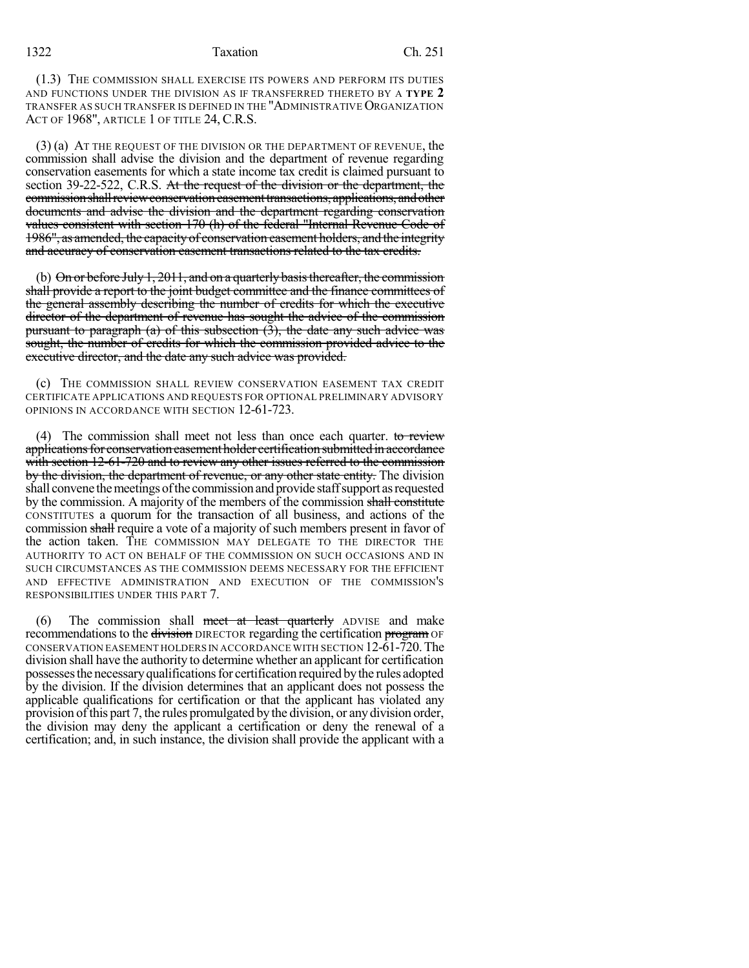(1.3) THE COMMISSION SHALL EXERCISE ITS POWERS AND PERFORM ITS DUTIES AND FUNCTIONS UNDER THE DIVISION AS IF TRANSFERRED THERETO BY A **TYPE 2** TRANSFER AS SUCH TRANSFER IS DEFINED IN THE "ADMINISTRATIVE ORGANIZATION ACT OF 1968", ARTICLE 1 OF TITLE 24, C.R.S.

 $(3)$  (a) AT THE REQUEST OF THE DIVISION OR THE DEPARTMENT OF REVENUE, the commission shall advise the division and the department of revenue regarding conservation easements for which a state income tax credit is claimed pursuant to section 39-22-522, C.R.S. At the request of the division or the department, the commissionshallreviewconservationeasementtransactions, applications, andother documents and advise the division and the department regarding conservation values consistent with section 170 (h) of the federal "Internal Revenue Code of 1986", as amended, the capacityof conservation easement holders, and the integrity and accuracy of conservation easement transactions related to the tax credits.

(b) On or before July 1, 2011, and on a quarterly basis thereafter, the commission shall provide a report to the joint budget committee and the finance committees of the general assembly describing the number of credits for which the executive director of the department of revenue has sought the advice of the commission pursuant to paragraph (a) of this subsection  $(3)$ , the date any such advice was sought, the number of credits for which the commission provided advice to the executive director, and the date any such advice was provided.

(c) THE COMMISSION SHALL REVIEW CONSERVATION EASEMENT TAX CREDIT CERTIFICATE APPLICATIONS AND REQUESTS FOR OPTIONAL PRELIMINARY ADVISORY OPINIONS IN ACCORDANCE WITH SECTION 12-61-723.

(4) The commission shall meet not less than once each quarter. to review applications for conservation easement holder certification submitted in accordance with section 12-61-720 and to review any other issues referred to the commission by the division, the department of revenue, or any other state entity. The division shall convene the meetings of the commission and provide staff support as requested by the commission. A majority of the members of the commission shall constitute CONSTITUTES a quorum for the transaction of all business, and actions of the commission shall require a vote of a majority of such members present in favor of the action taken. THE COMMISSION MAY DELEGATE TO THE DIRECTOR THE AUTHORITY TO ACT ON BEHALF OF THE COMMISSION ON SUCH OCCASIONS AND IN SUCH CIRCUMSTANCES AS THE COMMISSION DEEMS NECESSARY FOR THE EFFICIENT AND EFFECTIVE ADMINISTRATION AND EXECUTION OF THE COMMISSION'S RESPONSIBILITIES UNDER THIS PART 7.

(6) The commission shall meet at least quarterly  $ADVISE$  and make recommendations to the <del>division</del> DIRECTOR regarding the certification program OF CONSERVATION EASEMENT HOLDERS IN ACCORDANCE WITH SECTION 12-61-720.The division shall have the authority to determine whether an applicant for certification possessesthe necessaryqualificationsfor certification required bythe rules adopted by the division. If the division determines that an applicant does not possess the applicable qualifications for certification or that the applicant has violated any provision ofthis part 7, the rules promulgated by the division, or any division order, the division may deny the applicant a certification or deny the renewal of a certification; and, in such instance, the division shall provide the applicant with a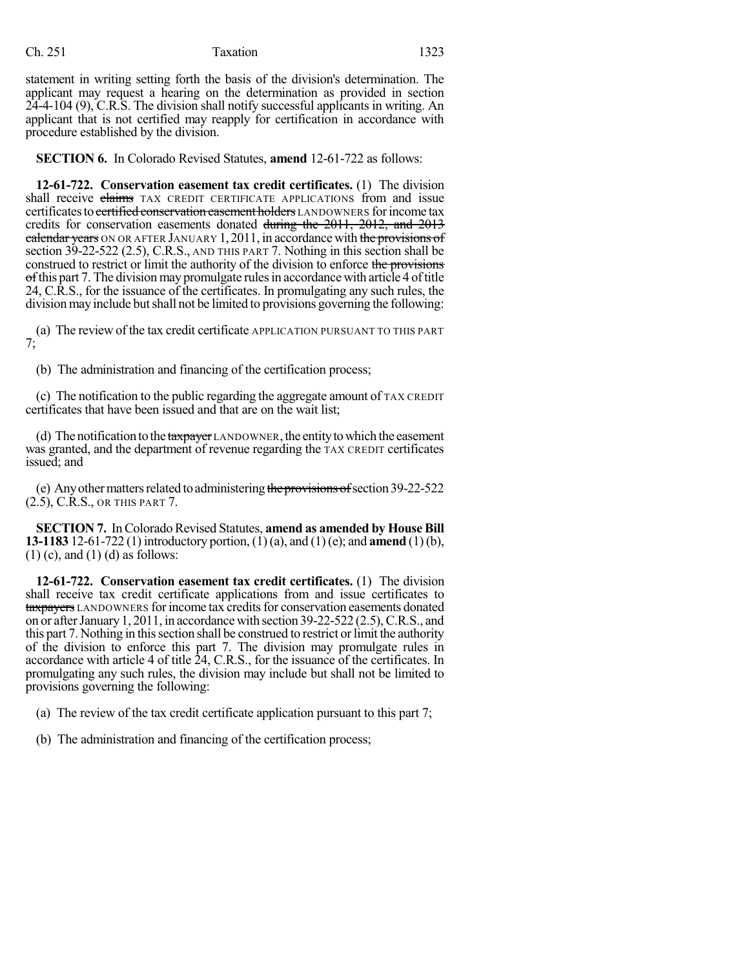statement in writing setting forth the basis of the division's determination. The applicant may request a hearing on the determination as provided in section 24-4-104 (9), C.R.S. The division shall notify successful applicants in writing. An applicant that is not certified may reapply for certification in accordance with procedure established by the division.

**SECTION 6.** In Colorado Revised Statutes, **amend** 12-61-722 as follows:

**12-61-722. Conservation easement tax credit certificates.** (1) The division shall receive claims TAX CREDIT CERTIFICATE APPLICATIONS from and issue certificates to certified conservation easement holders LANDOWNERS for income tax credits for conservation easements donated during the 2011, 2012, and 2013 calendar years ON OR AFTER JANUARY 1, 2011, in accordance with the provisions of section 39-22-522 (2.5), C.R.S., AND THIS PART 7. Nothing in this section shall be construed to restrict or limit the authority of the division to enforce the provisions of this part 7. The division may promulgate rules in accordance with article 4 of title 24, C.R.S., for the issuance of the certificates. In promulgating any such rules, the division may include but shall not be limited to provisions governing the following:

(a) The review of the tax credit certificate APPLICATION PURSUANT TO THIS PART 7;

(b) The administration and financing of the certification process;

(c) The notification to the public regarding the aggregate amount of TAX CREDIT certificates that have been issued and that are on the wait list;

(d) The notification to the  $\frac{1}{2}$  tan  $\frac{1}{2}$  LANDOWNER, the entity to which the easement was granted, and the department of revenue regarding the TAX CREDIT certificates issued; and

(e) Any other matters related to administering the provisions of section  $39-22-522$ (2.5), C.R.S., OR THIS PART 7.

**SECTION** 7. In Colorado Revised Statutes, **amend** as amended by House Bill **13-1183** 12-61-722 (1) introductory portion, (1) (a), and (1)(e); and **amend** (1)(b),  $(1)$  (c), and  $(1)$  (d) as follows:

**12-61-722. Conservation easement tax credit certificates.** (1) The division shall receive tax credit certificate applications from and issue certificates to taxpayers LANDOWNERS for income tax credits for conservation easements donated on or afterJanuary1, 2011, in accordance with section 39-22-522 (2.5),C.R.S., and this part 7. Nothing in this section shall be construed to restrict or limit the authority of the division to enforce this part 7. The division may promulgate rules in accordance with article 4 of title 24, C.R.S., for the issuance of the certificates. In promulgating any such rules, the division may include but shall not be limited to provisions governing the following:

(a) The review of the tax credit certificate application pursuant to this part 7;

(b) The administration and financing of the certification process;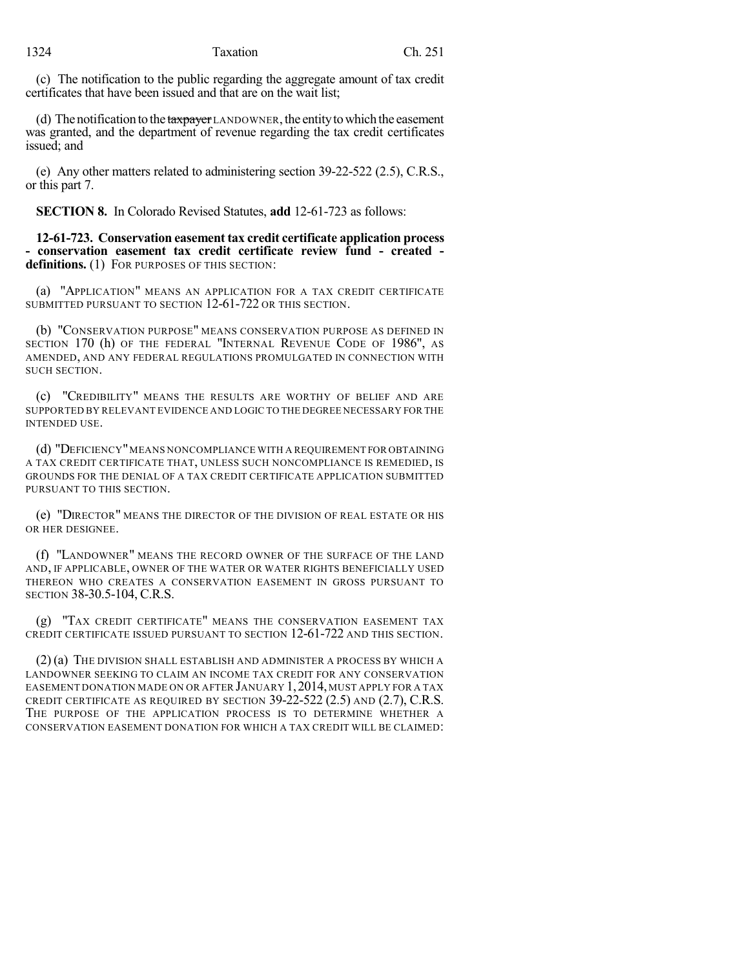(c) The notification to the public regarding the aggregate amount of tax credit certificates that have been issued and that are on the wait list;

(d) The notification to the  $\frac{1}{2}$  tan  $\frac{1}{2}$  LANDOWNER, the entity to which the easement was granted, and the department of revenue regarding the tax credit certificates issued; and

(e) Any other matters related to administering section 39-22-522 (2.5), C.R.S., or this part 7.

**SECTION 8.** In Colorado Revised Statutes, **add** 12-61-723 as follows:

**12-61-723. Conservation easement tax credit certificate application process - conservation easement tax credit certificate review fund - created definitions.** (1) FOR PURPOSES OF THIS SECTION:

(a) "APPLICATION" MEANS AN APPLICATION FOR A TAX CREDIT CERTIFICATE SUBMITTED PURSUANT TO SECTION 12-61-722 OR THIS SECTION.

(b) "CONSERVATION PURPOSE" MEANS CONSERVATION PURPOSE AS DEFINED IN SECTION 170 (h) OF THE FEDERAL "INTERNAL REVENUE CODE OF 1986", AS AMENDED, AND ANY FEDERAL REGULATIONS PROMULGATED IN CONNECTION WITH SUCH SECTION.

"CREDIBILITY" MEANS THE RESULTS ARE WORTHY OF BELIEF AND ARE SUPPORTED BY RELEVANT EVIDENCE AND LOGIC TO THE DEGREE NECESSARY FOR THE INTENDED USE.

(d) "DEFICIENCY"MEANS NONCOMPLIANCE WITH A REQUIREMENT FOR OBTAINING A TAX CREDIT CERTIFICATE THAT, UNLESS SUCH NONCOMPLIANCE IS REMEDIED, IS GROUNDS FOR THE DENIAL OF A TAX CREDIT CERTIFICATE APPLICATION SUBMITTED PURSUANT TO THIS SECTION.

(e) "DIRECTOR" MEANS THE DIRECTOR OF THE DIVISION OF REAL ESTATE OR HIS OR HER DESIGNEE.

(f) "LANDOWNER" MEANS THE RECORD OWNER OF THE SURFACE OF THE LAND AND, IF APPLICABLE, OWNER OF THE WATER OR WATER RIGHTS BENEFICIALLY USED THEREON WHO CREATES A CONSERVATION EASEMENT IN GROSS PURSUANT TO SECTION 38-30.5-104, C.R.S.

(g) "TAX CREDIT CERTIFICATE" MEANS THE CONSERVATION EASEMENT TAX CREDIT CERTIFICATE ISSUED PURSUANT TO SECTION 12-61-722 AND THIS SECTION.

(2) (a) THE DIVISION SHALL ESTABLISH AND ADMINISTER A PROCESS BY WHICH A LANDOWNER SEEKING TO CLAIM AN INCOME TAX CREDIT FOR ANY CONSERVATION EASEMENT DONATION MADE ON OR AFTER JANUARY 1,2014, MUST APPLY FOR A TAX CREDIT CERTIFICATE AS REQUIRED BY SECTION 39-22-522 (2.5) AND (2.7), C.R.S. THE PURPOSE OF THE APPLICATION PROCESS IS TO DETERMINE WHETHER A CONSERVATION EASEMENT DONATION FOR WHICH A TAX CREDIT WILL BE CLAIMED: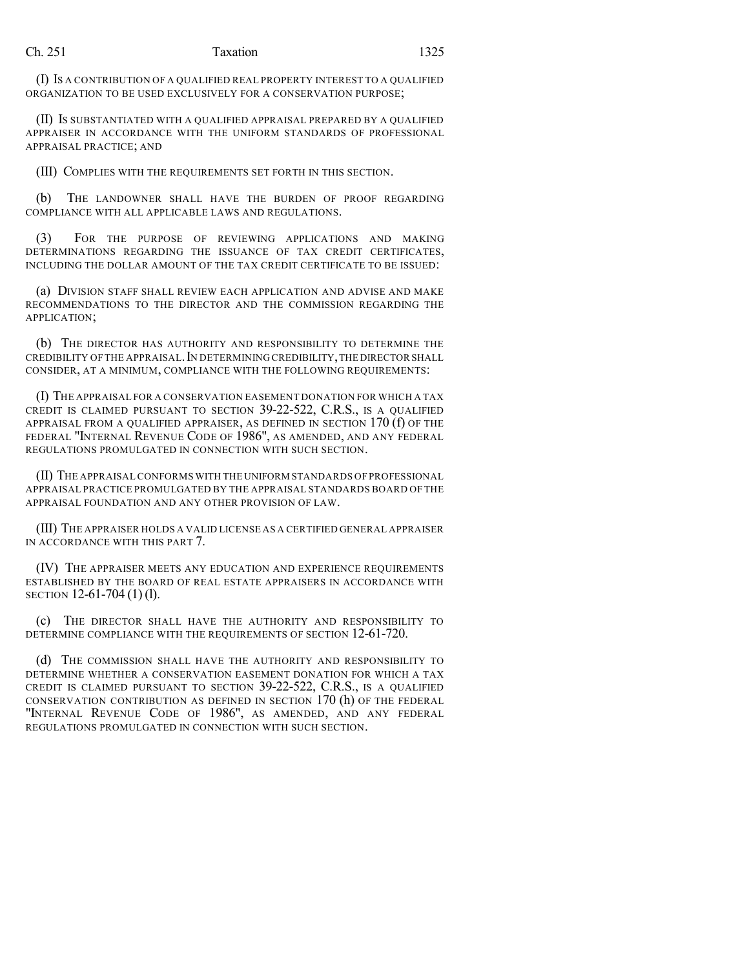(I) IS A CONTRIBUTION OF A QUALIFIED REAL PROPERTY INTEREST TO A QUALIFIED ORGANIZATION TO BE USED EXCLUSIVELY FOR A CONSERVATION PURPOSE;

(II) IS SUBSTANTIATED WITH A QUALIFIED APPRAISAL PREPARED BY A QUALIFIED APPRAISER IN ACCORDANCE WITH THE UNIFORM STANDARDS OF PROFESSIONAL APPRAISAL PRACTICE; AND

(III) COMPLIES WITH THE REQUIREMENTS SET FORTH IN THIS SECTION.

(b) THE LANDOWNER SHALL HAVE THE BURDEN OF PROOF REGARDING COMPLIANCE WITH ALL APPLICABLE LAWS AND REGULATIONS.

(3) FOR THE PURPOSE OF REVIEWING APPLICATIONS AND MAKING DETERMINATIONS REGARDING THE ISSUANCE OF TAX CREDIT CERTIFICATES, INCLUDING THE DOLLAR AMOUNT OF THE TAX CREDIT CERTIFICATE TO BE ISSUED:

(a) DIVISION STAFF SHALL REVIEW EACH APPLICATION AND ADVISE AND MAKE RECOMMENDATIONS TO THE DIRECTOR AND THE COMMISSION REGARDING THE APPLICATION;

(b) THE DIRECTOR HAS AUTHORITY AND RESPONSIBILITY TO DETERMINE THE CREDIBILITY OF THE APPRAISAL.IN DETERMINING CREDIBILITY,THE DIRECTOR SHALL CONSIDER, AT A MINIMUM, COMPLIANCE WITH THE FOLLOWING REQUIREMENTS:

(I) THE APPRAISAL FOR A CONSERVATION EASEMENT DONATION FOR WHICH A TAX CREDIT IS CLAIMED PURSUANT TO SECTION 39-22-522, C.R.S., IS A QUALIFIED APPRAISAL FROM A QUALIFIED APPRAISER, AS DEFINED IN SECTION 170 (f) OF THE FEDERAL "INTERNAL REVENUE CODE OF 1986", AS AMENDED, AND ANY FEDERAL REGULATIONS PROMULGATED IN CONNECTION WITH SUCH SECTION.

(II) THE APPRAISAL CONFORMS WITH THE UNIFORM STANDARDS OF PROFESSIONAL APPRAISAL PRACTICE PROMULGATED BY THE APPRAISAL STANDARDS BOARD OF THE APPRAISAL FOUNDATION AND ANY OTHER PROVISION OF LAW.

(III) THE APPRAISER HOLDS A VALID LICENSE AS A CERTIFIED GENERAL APPRAISER IN ACCORDANCE WITH THIS PART 7.

(IV) THE APPRAISER MEETS ANY EDUCATION AND EXPERIENCE REQUIREMENTS ESTABLISHED BY THE BOARD OF REAL ESTATE APPRAISERS IN ACCORDANCE WITH SECTION 12-61-704 (1) (l).

(c) THE DIRECTOR SHALL HAVE THE AUTHORITY AND RESPONSIBILITY TO DETERMINE COMPLIANCE WITH THE REQUIREMENTS OF SECTION 12-61-720.

(d) THE COMMISSION SHALL HAVE THE AUTHORITY AND RESPONSIBILITY TO DETERMINE WHETHER A CONSERVATION EASEMENT DONATION FOR WHICH A TAX CREDIT IS CLAIMED PURSUANT TO SECTION 39-22-522, C.R.S., IS A QUALIFIED CONSERVATION CONTRIBUTION AS DEFINED IN SECTION 170 (h) OF THE FEDERAL "INTERNAL REVENUE CODE OF 1986", AS AMENDED, AND ANY FEDERAL REGULATIONS PROMULGATED IN CONNECTION WITH SUCH SECTION.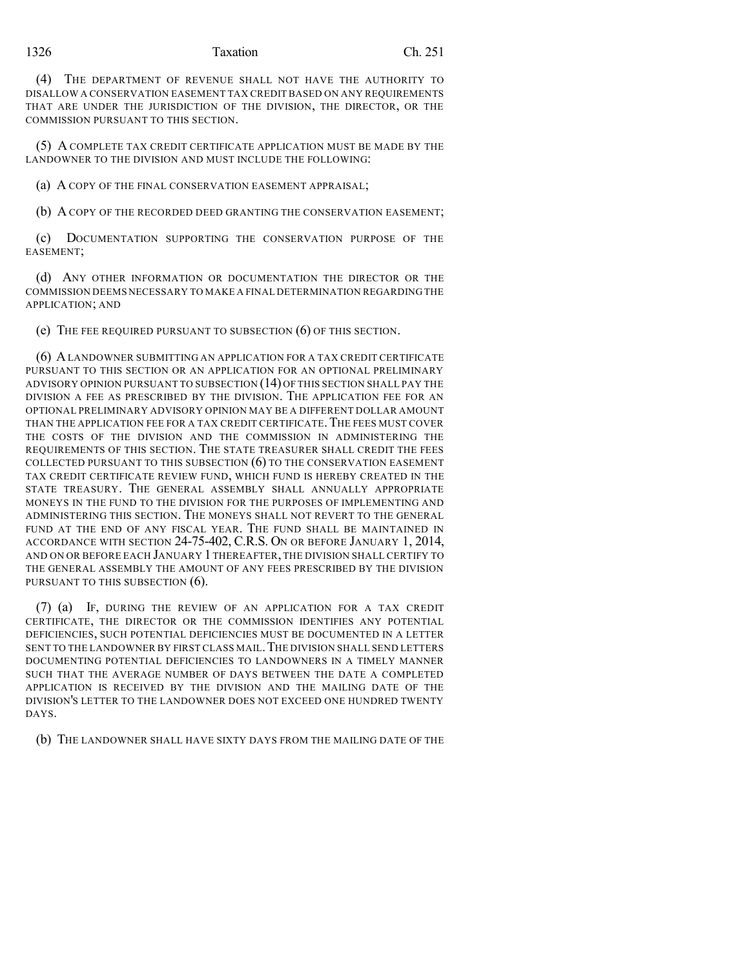(4) THE DEPARTMENT OF REVENUE SHALL NOT HAVE THE AUTHORITY TO DISALLOW A CONSERVATION EASEMENT TAX CREDIT BASED ON ANY REQUIREMENTS THAT ARE UNDER THE JURISDICTION OF THE DIVISION, THE DIRECTOR, OR THE COMMISSION PURSUANT TO THIS SECTION.

(5) A COMPLETE TAX CREDIT CERTIFICATE APPLICATION MUST BE MADE BY THE LANDOWNER TO THE DIVISION AND MUST INCLUDE THE FOLLOWING:

(a) A COPY OF THE FINAL CONSERVATION EASEMENT APPRAISAL;

(b) A COPY OF THE RECORDED DEED GRANTING THE CONSERVATION EASEMENT;

(c) DOCUMENTATION SUPPORTING THE CONSERVATION PURPOSE OF THE EASEMENT;

(d) ANY OTHER INFORMATION OR DOCUMENTATION THE DIRECTOR OR THE COMMISSION DEEMS NECESSARY TO MAKE A FINAL DETERMINATION REGARDING THE APPLICATION; AND

(e) THE FEE REQUIRED PURSUANT TO SUBSECTION (6) OF THIS SECTION.

(6) ALANDOWNER SUBMITTING AN APPLICATION FOR A TAX CREDIT CERTIFICATE PURSUANT TO THIS SECTION OR AN APPLICATION FOR AN OPTIONAL PRELIMINARY ADVISORY OPINION PURSUANT TO SUBSECTION (14) OF THIS SECTION SHALL PAY THE DIVISION A FEE AS PRESCRIBED BY THE DIVISION. THE APPLICATION FEE FOR AN OPTIONAL PRELIMINARY ADVISORY OPINION MAY BE A DIFFERENT DOLLAR AMOUNT THAN THE APPLICATION FEE FOR A TAX CREDIT CERTIFICATE. THE FEES MUST COVER THE COSTS OF THE DIVISION AND THE COMMISSION IN ADMINISTERING THE REQUIREMENTS OF THIS SECTION. THE STATE TREASURER SHALL CREDIT THE FEES COLLECTED PURSUANT TO THIS SUBSECTION (6) TO THE CONSERVATION EASEMENT TAX CREDIT CERTIFICATE REVIEW FUND, WHICH FUND IS HEREBY CREATED IN THE STATE TREASURY. THE GENERAL ASSEMBLY SHALL ANNUALLY APPROPRIATE MONEYS IN THE FUND TO THE DIVISION FOR THE PURPOSES OF IMPLEMENTING AND ADMINISTERING THIS SECTION. THE MONEYS SHALL NOT REVERT TO THE GENERAL FUND AT THE END OF ANY FISCAL YEAR. THE FUND SHALL BE MAINTAINED IN ACCORDANCE WITH SECTION 24-75-402, C.R.S. ON OR BEFORE JANUARY 1, 2014, AND ON OR BEFORE EACH JANUARY 1 THEREAFTER, THE DIVISION SHALL CERTIFY TO THE GENERAL ASSEMBLY THE AMOUNT OF ANY FEES PRESCRIBED BY THE DIVISION PURSUANT TO THIS SUBSECTION (6).

(7) (a) IF, DURING THE REVIEW OF AN APPLICATION FOR A TAX CREDIT CERTIFICATE, THE DIRECTOR OR THE COMMISSION IDENTIFIES ANY POTENTIAL DEFICIENCIES, SUCH POTENTIAL DEFICIENCIES MUST BE DOCUMENTED IN A LETTER SENT TO THE LANDOWNER BY FIRST CLASS MAIL. THE DIVISION SHALL SEND LETTERS DOCUMENTING POTENTIAL DEFICIENCIES TO LANDOWNERS IN A TIMELY MANNER SUCH THAT THE AVERAGE NUMBER OF DAYS BETWEEN THE DATE A COMPLETED APPLICATION IS RECEIVED BY THE DIVISION AND THE MAILING DATE OF THE DIVISION'S LETTER TO THE LANDOWNER DOES NOT EXCEED ONE HUNDRED TWENTY DAYS.

(b) THE LANDOWNER SHALL HAVE SIXTY DAYS FROM THE MAILING DATE OF THE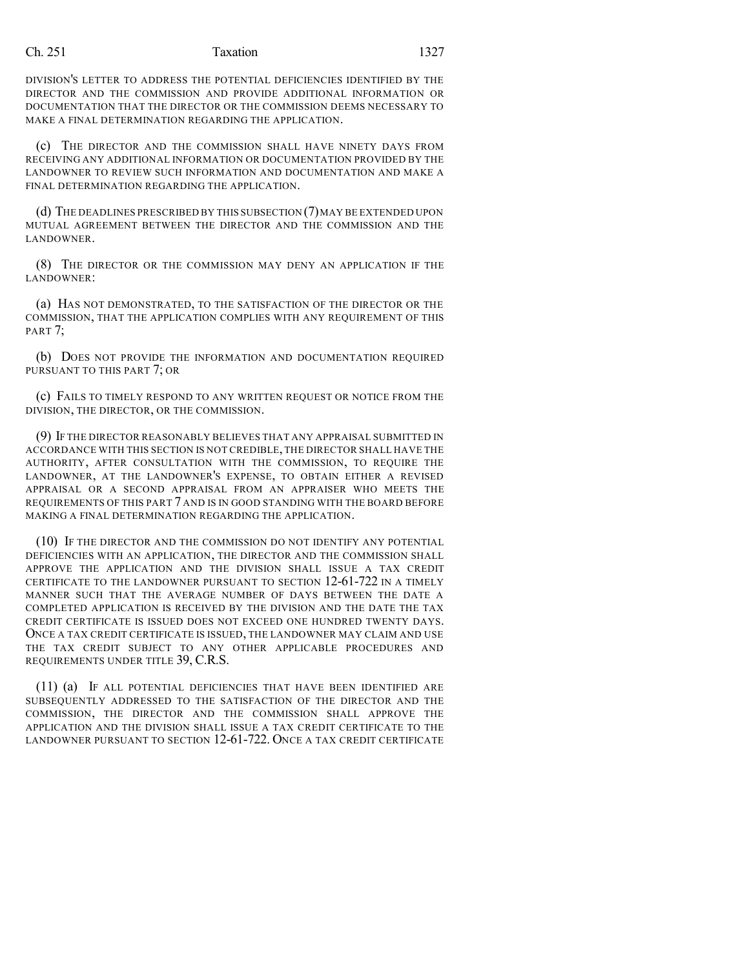DIVISION'S LETTER TO ADDRESS THE POTENTIAL DEFICIENCIES IDENTIFIED BY THE DIRECTOR AND THE COMMISSION AND PROVIDE ADDITIONAL INFORMATION OR DOCUMENTATION THAT THE DIRECTOR OR THE COMMISSION DEEMS NECESSARY TO MAKE A FINAL DETERMINATION REGARDING THE APPLICATION.

(c) THE DIRECTOR AND THE COMMISSION SHALL HAVE NINETY DAYS FROM RECEIVING ANY ADDITIONAL INFORMATION OR DOCUMENTATION PROVIDED BY THE LANDOWNER TO REVIEW SUCH INFORMATION AND DOCUMENTATION AND MAKE A FINAL DETERMINATION REGARDING THE APPLICATION.

(d) THE DEADLINES PRESCRIBED BY THIS SUBSECTION (7)MAY BE EXTENDED UPON MUTUAL AGREEMENT BETWEEN THE DIRECTOR AND THE COMMISSION AND THE LANDOWNER.

(8) THE DIRECTOR OR THE COMMISSION MAY DENY AN APPLICATION IF THE LANDOWNER:

(a) HAS NOT DEMONSTRATED, TO THE SATISFACTION OF THE DIRECTOR OR THE COMMISSION, THAT THE APPLICATION COMPLIES WITH ANY REQUIREMENT OF THIS PART<sub>7</sub>;

(b) DOES NOT PROVIDE THE INFORMATION AND DOCUMENTATION REQUIRED PURSUANT TO THIS PART 7; OR

(c) FAILS TO TIMELY RESPOND TO ANY WRITTEN REQUEST OR NOTICE FROM THE DIVISION, THE DIRECTOR, OR THE COMMISSION.

(9) IF THE DIRECTOR REASONABLY BELIEVES THAT ANY APPRAISAL SUBMITTED IN ACCORDANCE WITH THIS SECTION IS NOT CREDIBLE, THE DIRECTOR SHALL HAVE THE AUTHORITY, AFTER CONSULTATION WITH THE COMMISSION, TO REQUIRE THE LANDOWNER, AT THE LANDOWNER'S EXPENSE, TO OBTAIN EITHER A REVISED APPRAISAL OR A SECOND APPRAISAL FROM AN APPRAISER WHO MEETS THE REQUIREMENTS OF THIS PART 7 AND IS IN GOOD STANDING WITH THE BOARD BEFORE MAKING A FINAL DETERMINATION REGARDING THE APPLICATION.

(10) IF THE DIRECTOR AND THE COMMISSION DO NOT IDENTIFY ANY POTENTIAL DEFICIENCIES WITH AN APPLICATION, THE DIRECTOR AND THE COMMISSION SHALL APPROVE THE APPLICATION AND THE DIVISION SHALL ISSUE A TAX CREDIT CERTIFICATE TO THE LANDOWNER PURSUANT TO SECTION 12-61-722 IN A TIMELY MANNER SUCH THAT THE AVERAGE NUMBER OF DAYS BETWEEN THE DATE A COMPLETED APPLICATION IS RECEIVED BY THE DIVISION AND THE DATE THE TAX CREDIT CERTIFICATE IS ISSUED DOES NOT EXCEED ONE HUNDRED TWENTY DAYS. ONCE A TAX CREDIT CERTIFICATE IS ISSUED, THE LANDOWNER MAY CLAIM AND USE THE TAX CREDIT SUBJECT TO ANY OTHER APPLICABLE PROCEDURES AND REQUIREMENTS UNDER TITLE 39, C.R.S.

(11) (a) IF ALL POTENTIAL DEFICIENCIES THAT HAVE BEEN IDENTIFIED ARE SUBSEQUENTLY ADDRESSED TO THE SATISFACTION OF THE DIRECTOR AND THE COMMISSION, THE DIRECTOR AND THE COMMISSION SHALL APPROVE THE APPLICATION AND THE DIVISION SHALL ISSUE A TAX CREDIT CERTIFICATE TO THE LANDOWNER PURSUANT TO SECTION 12-61-722. ONCE A TAX CREDIT CERTIFICATE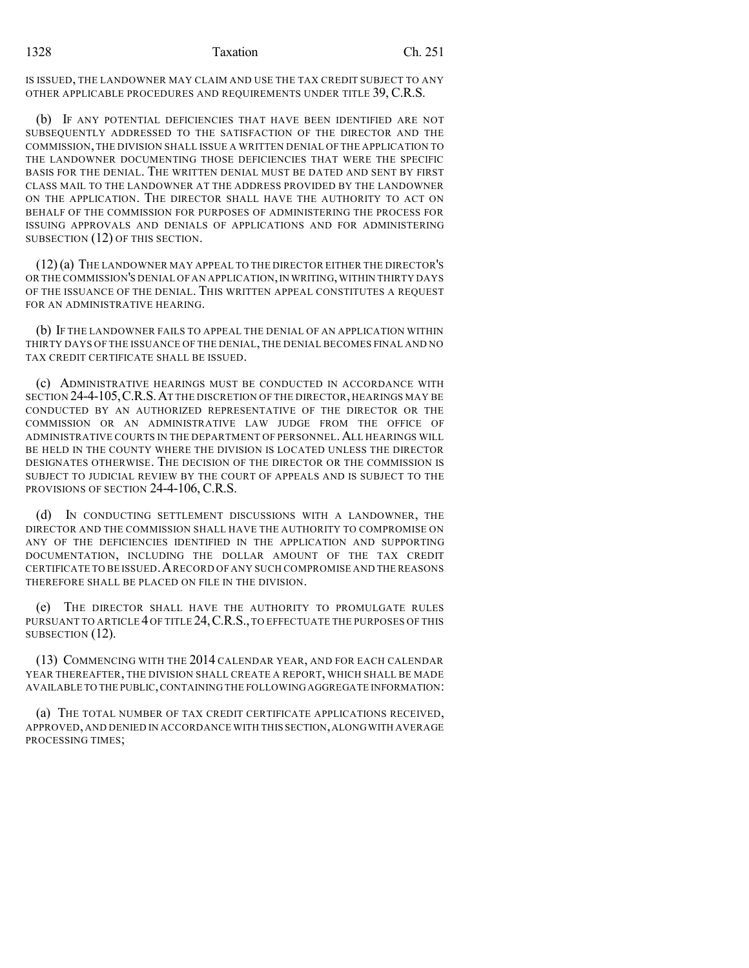IS ISSUED, THE LANDOWNER MAY CLAIM AND USE THE TAX CREDIT SUBJECT TO ANY OTHER APPLICABLE PROCEDURES AND REQUIREMENTS UNDER TITLE 39, C.R.S.

(b) IF ANY POTENTIAL DEFICIENCIES THAT HAVE BEEN IDENTIFIED ARE NOT SUBSEQUENTLY ADDRESSED TO THE SATISFACTION OF THE DIRECTOR AND THE COMMISSION,THE DIVISION SHALL ISSUE A WRITTEN DENIAL OF THE APPLICATION TO THE LANDOWNER DOCUMENTING THOSE DEFICIENCIES THAT WERE THE SPECIFIC BASIS FOR THE DENIAL. THE WRITTEN DENIAL MUST BE DATED AND SENT BY FIRST CLASS MAIL TO THE LANDOWNER AT THE ADDRESS PROVIDED BY THE LANDOWNER ON THE APPLICATION. THE DIRECTOR SHALL HAVE THE AUTHORITY TO ACT ON BEHALF OF THE COMMISSION FOR PURPOSES OF ADMINISTERING THE PROCESS FOR ISSUING APPROVALS AND DENIALS OF APPLICATIONS AND FOR ADMINISTERING SUBSECTION (12) OF THIS SECTION.

(12)(a) THE LANDOWNER MAY APPEAL TO THE DIRECTOR EITHER THE DIRECTOR'S OR THE COMMISSION'S DENIAL OF AN APPLICATION, IN WRITING, WITHIN THIRTY DAYS OF THE ISSUANCE OF THE DENIAL. THIS WRITTEN APPEAL CONSTITUTES A REQUEST FOR AN ADMINISTRATIVE HEARING.

(b) IF THE LANDOWNER FAILS TO APPEAL THE DENIAL OF AN APPLICATION WITHIN THIRTY DAYS OF THE ISSUANCE OF THE DENIAL, THE DENIAL BECOMES FINAL AND NO TAX CREDIT CERTIFICATE SHALL BE ISSUED.

(c) ADMINISTRATIVE HEARINGS MUST BE CONDUCTED IN ACCORDANCE WITH SECTION 24-4-105,C.R.S.AT THE DISCRETION OF THE DIRECTOR, HEARINGS MAY BE CONDUCTED BY AN AUTHORIZED REPRESENTATIVE OF THE DIRECTOR OR THE COMMISSION OR AN ADMINISTRATIVE LAW JUDGE FROM THE OFFICE OF ADMINISTRATIVE COURTS IN THE DEPARTMENT OF PERSONNEL. ALL HEARINGS WILL BE HELD IN THE COUNTY WHERE THE DIVISION IS LOCATED UNLESS THE DIRECTOR DESIGNATES OTHERWISE. THE DECISION OF THE DIRECTOR OR THE COMMISSION IS SUBJECT TO JUDICIAL REVIEW BY THE COURT OF APPEALS AND IS SUBJECT TO THE PROVISIONS OF SECTION 24-4-106, C.R.S.

(d) IN CONDUCTING SETTLEMENT DISCUSSIONS WITH A LANDOWNER, THE DIRECTOR AND THE COMMISSION SHALL HAVE THE AUTHORITY TO COMPROMISE ON ANY OF THE DEFICIENCIES IDENTIFIED IN THE APPLICATION AND SUPPORTING DOCUMENTATION, INCLUDING THE DOLLAR AMOUNT OF THE TAX CREDIT CERTIFICATE TO BE ISSUED.ARECORD OF ANY SUCH COMPROMISE AND THE REASONS THEREFORE SHALL BE PLACED ON FILE IN THE DIVISION.

(e) THE DIRECTOR SHALL HAVE THE AUTHORITY TO PROMULGATE RULES PURSUANT TO ARTICLE 4 OF TITLE 24, C.R.S., TO EFFECTUATE THE PURPOSES OF THIS SUBSECTION (12).

(13) COMMENCING WITH THE 2014 CALENDAR YEAR, AND FOR EACH CALENDAR YEAR THEREAFTER, THE DIVISION SHALL CREATE A REPORT, WHICH SHALL BE MADE AVAILABLE TO THE PUBLIC,CONTAINING THE FOLLOWING AGGREGATE INFORMATION:

(a) THE TOTAL NUMBER OF TAX CREDIT CERTIFICATE APPLICATIONS RECEIVED, APPROVED,AND DENIED IN ACCORDANCE WITH THIS SECTION,ALONGWITH AVERAGE PROCESSING TIMES;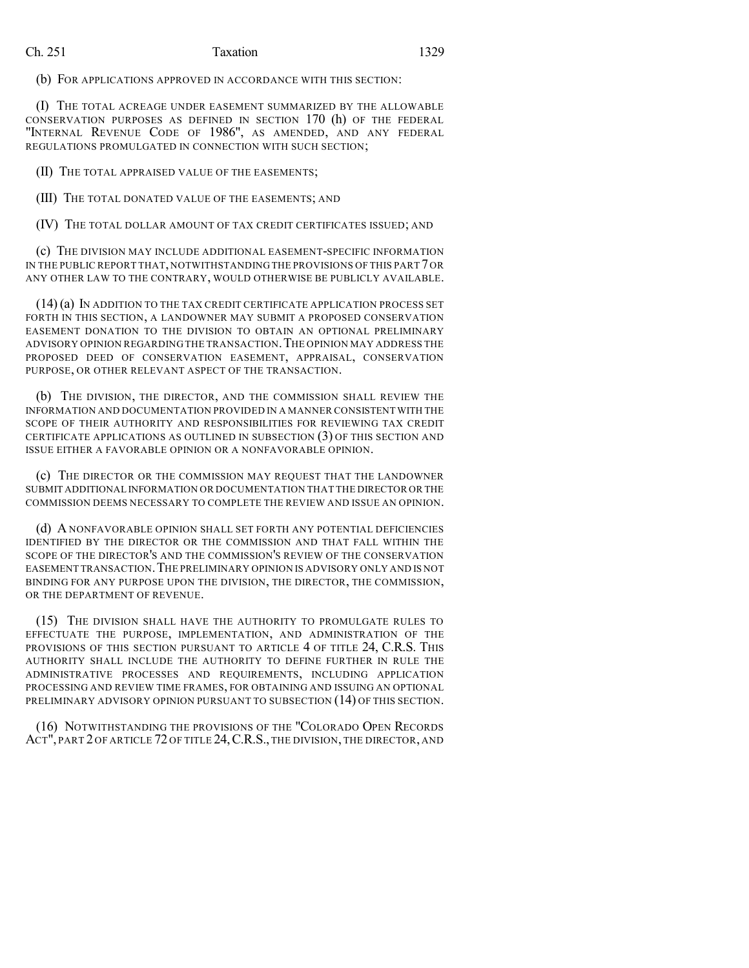(b) FOR APPLICATIONS APPROVED IN ACCORDANCE WITH THIS SECTION:

(I) THE TOTAL ACREAGE UNDER EASEMENT SUMMARIZED BY THE ALLOWABLE CONSERVATION PURPOSES AS DEFINED IN SECTION 170 (h) OF THE FEDERAL "INTERNAL REVENUE CODE OF 1986", AS AMENDED, AND ANY FEDERAL REGULATIONS PROMULGATED IN CONNECTION WITH SUCH SECTION;

(II) THE TOTAL APPRAISED VALUE OF THE EASEMENTS;

(III) THE TOTAL DONATED VALUE OF THE EASEMENTS; AND

(IV) THE TOTAL DOLLAR AMOUNT OF TAX CREDIT CERTIFICATES ISSUED; AND

(c) THE DIVISION MAY INCLUDE ADDITIONAL EASEMENT-SPECIFIC INFORMATION IN THE PUBLIC REPORT THAT, NOTWITHSTANDING THE PROVISIONS OF THIS PART 7OR ANY OTHER LAW TO THE CONTRARY, WOULD OTHERWISE BE PUBLICLY AVAILABLE.

(14) (a) IN ADDITION TO THE TAX CREDIT CERTIFICATE APPLICATION PROCESS SET FORTH IN THIS SECTION, A LANDOWNER MAY SUBMIT A PROPOSED CONSERVATION EASEMENT DONATION TO THE DIVISION TO OBTAIN AN OPTIONAL PRELIMINARY ADVISORY OPINION REGARDING THE TRANSACTION.THE OPINION MAY ADDRESS THE PROPOSED DEED OF CONSERVATION EASEMENT, APPRAISAL, CONSERVATION PURPOSE, OR OTHER RELEVANT ASPECT OF THE TRANSACTION.

(b) THE DIVISION, THE DIRECTOR, AND THE COMMISSION SHALL REVIEW THE INFORMATION AND DOCUMENTATION PROVIDED IN A MANNER CONSISTENT WITH THE SCOPE OF THEIR AUTHORITY AND RESPONSIBILITIES FOR REVIEWING TAX CREDIT CERTIFICATE APPLICATIONS AS OUTLINED IN SUBSECTION (3) OF THIS SECTION AND ISSUE EITHER A FAVORABLE OPINION OR A NONFAVORABLE OPINION.

(c) THE DIRECTOR OR THE COMMISSION MAY REQUEST THAT THE LANDOWNER SUBMIT ADDITIONAL INFORMATION OR DOCUMENTATION THAT THE DIRECTOR OR THE COMMISSION DEEMS NECESSARY TO COMPLETE THE REVIEW AND ISSUE AN OPINION.

(d) A NONFAVORABLE OPINION SHALL SET FORTH ANY POTENTIAL DEFICIENCIES IDENTIFIED BY THE DIRECTOR OR THE COMMISSION AND THAT FALL WITHIN THE SCOPE OF THE DIRECTOR'S AND THE COMMISSION'S REVIEW OF THE CONSERVATION EASEMENT TRANSACTION. THE PRELIMINARY OPINION IS ADVISORY ONLY AND IS NOT BINDING FOR ANY PURPOSE UPON THE DIVISION, THE DIRECTOR, THE COMMISSION, OR THE DEPARTMENT OF REVENUE.

(15) THE DIVISION SHALL HAVE THE AUTHORITY TO PROMULGATE RULES TO EFFECTUATE THE PURPOSE, IMPLEMENTATION, AND ADMINISTRATION OF THE PROVISIONS OF THIS SECTION PURSUANT TO ARTICLE 4 OF TITLE 24, C.R.S. THIS AUTHORITY SHALL INCLUDE THE AUTHORITY TO DEFINE FURTHER IN RULE THE ADMINISTRATIVE PROCESSES AND REQUIREMENTS, INCLUDING APPLICATION PROCESSING AND REVIEW TIME FRAMES, FOR OBTAINING AND ISSUING AN OPTIONAL PRELIMINARY ADVISORY OPINION PURSUANT TO SUBSECTION (14) OF THIS SECTION.

(16) NOTWITHSTANDING THE PROVISIONS OF THE "COLORADO OPEN RECORDS ACT", PART 2 OF ARTICLE 72 OF TITLE 24, C.R.S., THE DIVISION, THE DIRECTOR, AND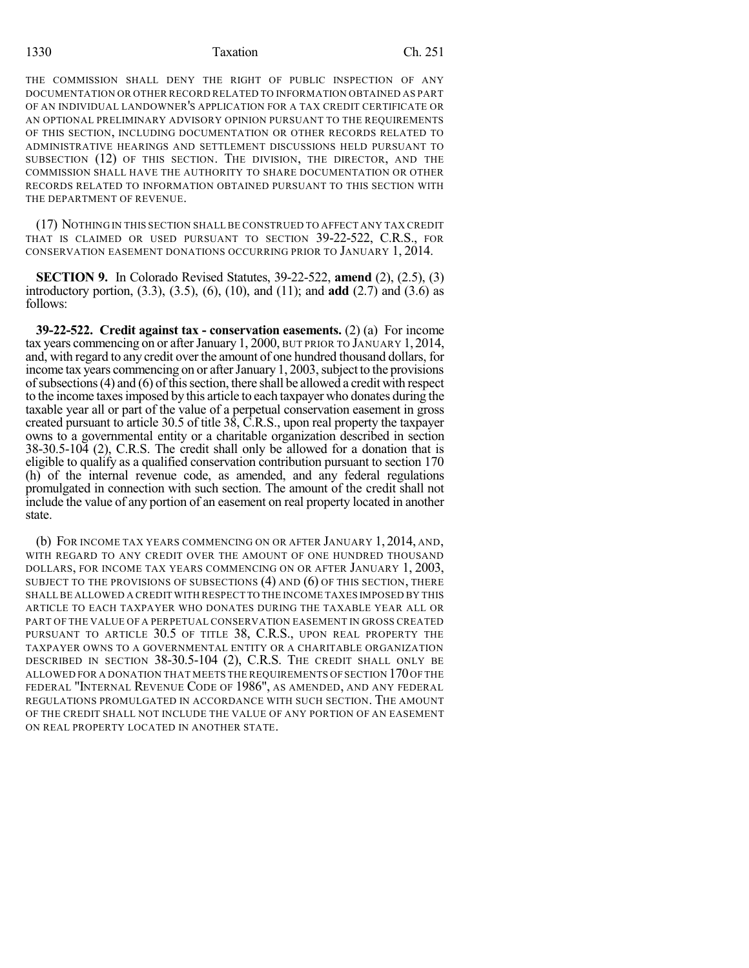THE COMMISSION SHALL DENY THE RIGHT OF PUBLIC INSPECTION OF ANY DOCUMENTATION OR OTHER RECORD RELATED TO INFORMATION OBTAINED AS PART OF AN INDIVIDUAL LANDOWNER'S APPLICATION FOR A TAX CREDIT CERTIFICATE OR AN OPTIONAL PRELIMINARY ADVISORY OPINION PURSUANT TO THE REQUIREMENTS OF THIS SECTION, INCLUDING DOCUMENTATION OR OTHER RECORDS RELATED TO ADMINISTRATIVE HEARINGS AND SETTLEMENT DISCUSSIONS HELD PURSUANT TO SUBSECTION (12) OF THIS SECTION. THE DIVISION, THE DIRECTOR, AND THE COMMISSION SHALL HAVE THE AUTHORITY TO SHARE DOCUMENTATION OR OTHER RECORDS RELATED TO INFORMATION OBTAINED PURSUANT TO THIS SECTION WITH THE DEPARTMENT OF REVENUE.

(17) NOTHING IN THIS SECTION SHALL BE CONSTRUED TO AFFECT ANY TAX CREDIT THAT IS CLAIMED OR USED PURSUANT TO SECTION 39-22-522, C.R.S., FOR CONSERVATION EASEMENT DONATIONS OCCURRING PRIOR TO JANUARY 1, 2014.

**SECTION 9.** In Colorado Revised Statutes, 39-22-522, **amend** (2), (2.5), (3) introductory portion, (3.3), (3.5), (6), (10), and (11); and **add** (2.7) and (3.6) as follows:

**39-22-522. Credit against tax - conservation easements.** (2) (a) For income tax years commencing on or afterJanuary 1, 2000, BUT PRIOR TO JANUARY 1, 2014, and, with regard to any credit over the amount of one hundred thousand dollars, for income tax years commencing on or after January 1, 2003, subject to the provisions of subsections  $(4)$  and  $(6)$  of this section, there shall be allowed a credit with respect to the income taxesimposed by this article to each taxpayer who donates during the taxable year all or part of the value of a perpetual conservation easement in gross created pursuant to article 30.5 of title 38, C.R.S., upon real property the taxpayer owns to a governmental entity or a charitable organization described in section 38-30.5-104 (2), C.R.S. The credit shall only be allowed for a donation that is eligible to qualify as a qualified conservation contribution pursuant to section 170 (h) of the internal revenue code, as amended, and any federal regulations promulgated in connection with such section. The amount of the credit shall not include the value of any portion of an easement on real property located in another state.

(b) FOR INCOME TAX YEARS COMMENCING ON OR AFTER JANUARY 1, 2014, AND, WITH REGARD TO ANY CREDIT OVER THE AMOUNT OF ONE HUNDRED THOUSAND DOLLARS, FOR INCOME TAX YEARS COMMENCING ON OR AFTER JANUARY 1, 2003, SUBJECT TO THE PROVISIONS OF SUBSECTIONS (4) AND (6) OF THIS SECTION, THERE SHALLBE ALLOWED A CREDIT WITH RESPECT TO THE INCOME TAXES IMPOSED BY THIS ARTICLE TO EACH TAXPAYER WHO DONATES DURING THE TAXABLE YEAR ALL OR PART OF THE VALUE OF A PERPETUAL CONSERVATION EASEMENT IN GROSS CREATED PURSUANT TO ARTICLE 30.5 OF TITLE 38, C.R.S., UPON REAL PROPERTY THE TAXPAYER OWNS TO A GOVERNMENTAL ENTITY OR A CHARITABLE ORGANIZATION DESCRIBED IN SECTION 38-30.5-104 (2), C.R.S. THE CREDIT SHALL ONLY BE ALLOWED FOR A DONATION THAT MEETS THE REQUIREMENTS OF SECTION 170OF THE FEDERAL "INTERNAL REVENUE CODE OF 1986", AS AMENDED, AND ANY FEDERAL REGULATIONS PROMULGATED IN ACCORDANCE WITH SUCH SECTION. THE AMOUNT OF THE CREDIT SHALL NOT INCLUDE THE VALUE OF ANY PORTION OF AN EASEMENT ON REAL PROPERTY LOCATED IN ANOTHER STATE.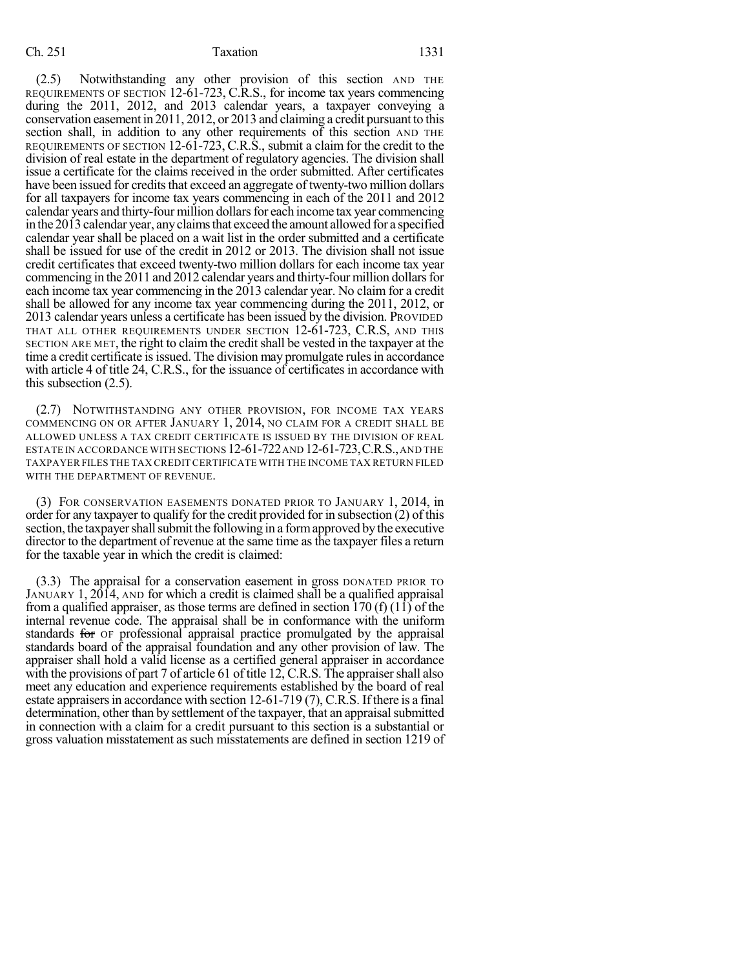(2.5) Notwithstanding any other provision of this section AND THE REQUIREMENTS OF SECTION 12-61-723, C.R.S., for income tax years commencing during the 2011, 2012, and 2013 calendar years, a taxpayer conveying a conservation easement in 2011, 2012, or 2013 and claiming a credit pursuant to this section shall, in addition to any other requirements of this section AND THE REQUIREMENTS OF SECTION 12-61-723, C.R.S., submit a claim for the credit to the division of real estate in the department of regulatory agencies. The division shall issue a certificate for the claims received in the order submitted. After certificates have been issued for credits that exceed an aggregate of twenty-two million dollars for all taxpayers for income tax years commencing in each of the 2011 and 2012 calendar years and thirty-four million dollars for each income tax year commencing in the 2013 calendar year, anyclaimsthat exceed the amount allowed for a specified calendar year shall be placed on a wait list in the order submitted and a certificate shall be issued for use of the credit in 2012 or 2013. The division shall not issue credit certificates that exceed twenty-two million dollars for each income tax year commencing in the 2011 and 2012 calendar years and thirty-four million dollars for each income tax year commencing in the 2013 calendar year. No claim for a credit shall be allowed for any income tax year commencing during the 2011, 2012, or 2013 calendar years unless a certificate has been issued by the division. PROVIDED THAT ALL OTHER REQUIREMENTS UNDER SECTION 12-61-723, C.R.S, AND THIS SECTION ARE MET, the right to claim the creditshall be vested in the taxpayer at the time a credit certificate is issued. The division may promulgate rules in accordance with article 4 of title 24, C.R.S., for the issuance of certificates in accordance with this subsection (2.5).

(2.7) NOTWITHSTANDING ANY OTHER PROVISION, FOR INCOME TAX YEARS COMMENCING ON OR AFTER JANUARY 1, 2014, NO CLAIM FOR A CREDIT SHALL BE ALLOWED UNLESS A TAX CREDIT CERTIFICATE IS ISSUED BY THE DIVISION OF REAL ESTATE IN ACCORDANCE WITH SECTIONS 12-61-722 AND 12-61-723, C.R.S., AND THE TAXPAYER FILES THE TAX CREDITCERTIFICATE WITH THE INCOME TAX RETURN FILED WITH THE DEPARTMENT OF REVENUE.

(3) FOR CONSERVATION EASEMENTS DONATED PRIOR TO JANUARY 1, 2014, in order for any taxpayer to qualify for the credit provided for in subsection (2) of this section, the taxpayer shall submit the following in a form approved by the executive director to the department of revenue at the same time asthe taxpayer files a return for the taxable year in which the credit is claimed:

(3.3) The appraisal for a conservation easement in gross DONATED PRIOR TO JANUARY 1, 2014, AND for which a credit is claimed shall be a qualified appraisal from a qualified appraiser, as those terms are defined in section  $170 \text{ (f)} (11)$  of the internal revenue code. The appraisal shall be in conformance with the uniform standards for OF professional appraisal practice promulgated by the appraisal standards board of the appraisal foundation and any other provision of law. The appraiser shall hold a valid license as a certified general appraiser in accordance with the provisions of part 7 of article 61 of title 12, C.R.S. The appraiser shall also meet any education and experience requirements established by the board of real estate appraisers in accordance with section  $12-61-719(7)$ , C.R.S. If there is a final determination, other than by settlement of the taxpayer, that an appraisal submitted in connection with a claim for a credit pursuant to this section is a substantial or gross valuation misstatement as such misstatements are defined in section 1219 of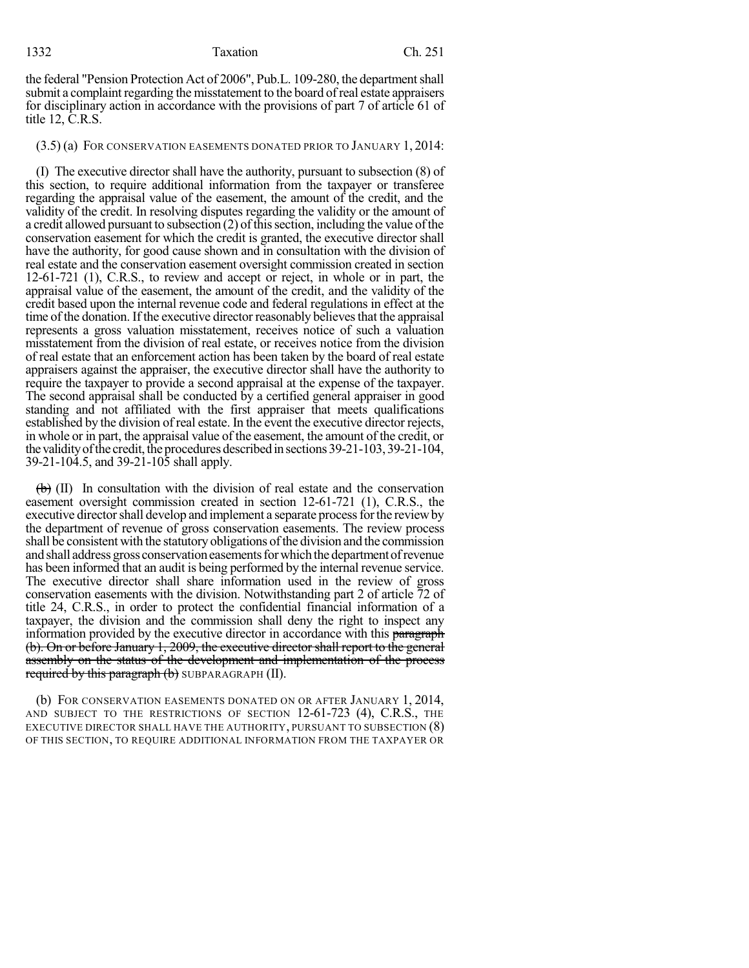the federal "Pension Protection Act of 2006", Pub.L. 109-280, the department shall submit a complaint regarding the misstatement to the board of real estate appraisers for disciplinary action in accordance with the provisions of part 7 of article 61 of title 12, C.R.S.

#### (3.5) (a) FOR CONSERVATION EASEMENTS DONATED PRIOR TO JANUARY 1, 2014:

(I) The executive director shall have the authority, pursuant to subsection (8) of this section, to require additional information from the taxpayer or transferee regarding the appraisal value of the easement, the amount of the credit, and the validity of the credit. In resolving disputes regarding the validity or the amount of a credit allowed pursuant to subsection  $(2)$  of this section, including the value of the conservation easement for which the credit is granted, the executive director shall have the authority, for good cause shown and in consultation with the division of real estate and the conservation easement oversight commission created in section 12-61-721 (1), C.R.S., to review and accept or reject, in whole or in part, the appraisal value of the easement, the amount of the credit, and the validity of the credit based upon the internal revenue code and federal regulations in effect at the time of the donation. If the executive director reasonably believes that the appraisal represents a gross valuation misstatement, receives notice of such a valuation misstatement from the division of real estate, or receives notice from the division of real estate that an enforcement action has been taken by the board of real estate appraisers against the appraiser, the executive director shall have the authority to require the taxpayer to provide a second appraisal at the expense of the taxpayer. The second appraisal shall be conducted by a certified general appraiser in good standing and not affiliated with the first appraiser that meets qualifications established by the division of real estate. In the event the executive director rejects, in whole or in part, the appraisal value of the easement, the amount of the credit, or the validity of the credit, the procedures described in sections 39-21-103, 39-21-104, 39-21-104.5, and 39-21-105 shall apply.

 $(b)$  (II) In consultation with the division of real estate and the conservation easement oversight commission created in section 12-61-721 (1), C.R.S., the executive directorshall develop and implement a separate processforthe reviewby the department of revenue of gross conservation easements. The review process shall be consistent with the statutory obligations of the division and the commission and shall address gross conservation easements for which the department of revenue has been informed that an audit is being performed by the internal revenue service. The executive director shall share information used in the review of gross conservation easements with the division. Notwithstanding part 2 of article 72 of title 24, C.R.S., in order to protect the confidential financial information of a taxpayer, the division and the commission shall deny the right to inspect any information provided by the executive director in accordance with this paragraph (b). On or before January 1, 2009, the executive directorshall report to the general assembly on the status of the development and implementation of the process required by this paragraph (b) SUBPARAGRAPH (II).

(b) FOR CONSERVATION EASEMENTS DONATED ON OR AFTER JANUARY 1, 2014, AND SUBJECT TO THE RESTRICTIONS OF SECTION 12-61-723 (4), C.R.S., THE EXECUTIVE DIRECTOR SHALL HAVE THE AUTHORITY, PURSUANT TO SUBSECTION (8) OF THIS SECTION, TO REQUIRE ADDITIONAL INFORMATION FROM THE TAXPAYER OR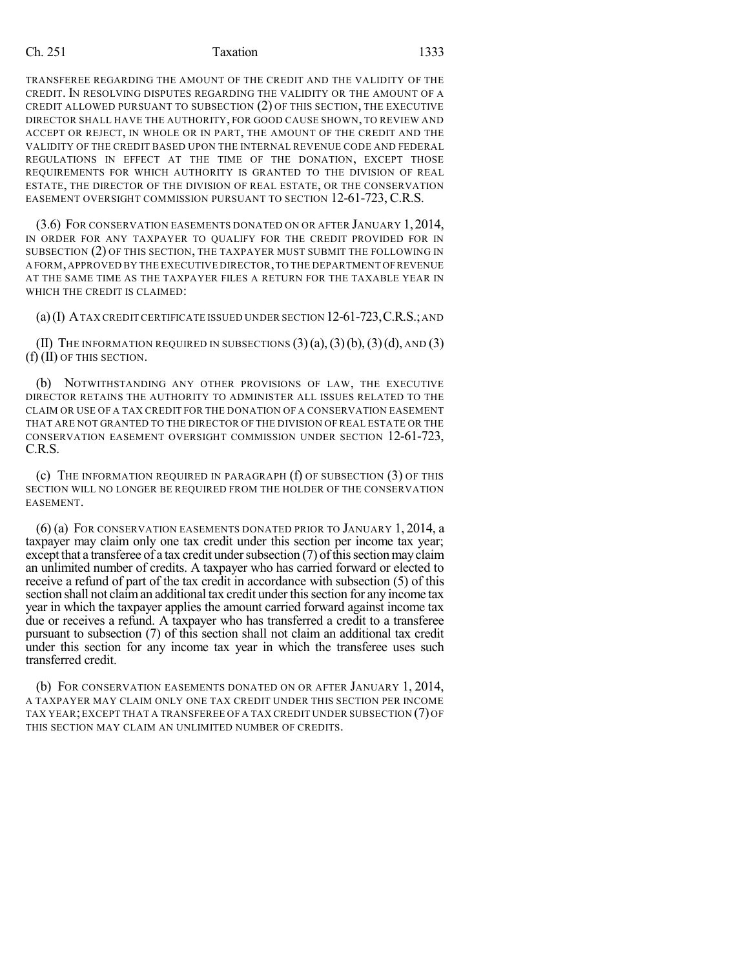TRANSFEREE REGARDING THE AMOUNT OF THE CREDIT AND THE VALIDITY OF THE CREDIT. IN RESOLVING DISPUTES REGARDING THE VALIDITY OR THE AMOUNT OF A CREDIT ALLOWED PURSUANT TO SUBSECTION (2) OF THIS SECTION, THE EXECUTIVE DIRECTOR SHALL HAVE THE AUTHORITY, FOR GOOD CAUSE SHOWN, TO REVIEW AND ACCEPT OR REJECT, IN WHOLE OR IN PART, THE AMOUNT OF THE CREDIT AND THE VALIDITY OF THE CREDIT BASED UPON THE INTERNAL REVENUE CODE AND FEDERAL REGULATIONS IN EFFECT AT THE TIME OF THE DONATION, EXCEPT THOSE REQUIREMENTS FOR WHICH AUTHORITY IS GRANTED TO THE DIVISION OF REAL ESTATE, THE DIRECTOR OF THE DIVISION OF REAL ESTATE, OR THE CONSERVATION EASEMENT OVERSIGHT COMMISSION PURSUANT TO SECTION 12-61-723, C.R.S.

(3.6) FOR CONSERVATION EASEMENTS DONATED ON OR AFTER JANUARY 1, 2014, IN ORDER FOR ANY TAXPAYER TO QUALIFY FOR THE CREDIT PROVIDED FOR IN SUBSECTION (2) OF THIS SECTION, THE TAXPAYER MUST SUBMIT THE FOLLOWING IN A FORM,APPROVED BY THE EXECUTIVE DIRECTOR,TO THE DEPARTMENT OFREVENUE AT THE SAME TIME AS THE TAXPAYER FILES A RETURN FOR THE TAXABLE YEAR IN WHICH THE CREDIT IS CLAIMED:

(a)(I) ATAX CREDIT CERTIFICATE ISSUED UNDER SECTION 12-61-723,C.R.S.;AND

(II) THE INFORMATION REQUIRED IN SUBSECTIONS  $(3)(a)$ ,  $(3)(b)$ ,  $(3)(d)$ , AND  $(3)$ (f) (II) OF THIS SECTION.

(b) NOTWITHSTANDING ANY OTHER PROVISIONS OF LAW, THE EXECUTIVE DIRECTOR RETAINS THE AUTHORITY TO ADMINISTER ALL ISSUES RELATED TO THE CLAIM OR USE OF A TAX CREDIT FOR THE DONATION OF A CONSERVATION EASEMENT THAT ARE NOT GRANTED TO THE DIRECTOR OF THE DIVISION OF REAL ESTATE OR THE CONSERVATION EASEMENT OVERSIGHT COMMISSION UNDER SECTION 12-61-723, C.R.S.

(c) THE INFORMATION REQUIRED IN PARAGRAPH (f) OF SUBSECTION (3) OF THIS SECTION WILL NO LONGER BE REQUIRED FROM THE HOLDER OF THE CONSERVATION EASEMENT.

(6) (a) FOR CONSERVATION EASEMENTS DONATED PRIOR TO JANUARY 1, 2014, a taxpayer may claim only one tax credit under this section per income tax year; except that a transferee of a tax credit under subsection (7) of this section may claim an unlimited number of credits. A taxpayer who has carried forward or elected to receive a refund of part of the tax credit in accordance with subsection (5) of this section shall not claim an additional tax credit under this section for any income tax year in which the taxpayer applies the amount carried forward against income tax due or receives a refund. A taxpayer who has transferred a credit to a transferee pursuant to subsection (7) of this section shall not claim an additional tax credit under this section for any income tax year in which the transferee uses such transferred credit.

(b) FOR CONSERVATION EASEMENTS DONATED ON OR AFTER JANUARY 1, 2014, A TAXPAYER MAY CLAIM ONLY ONE TAX CREDIT UNDER THIS SECTION PER INCOME TAX YEAR; EXCEPT THAT A TRANSFEREE OF A TAX CREDIT UNDER SUBSECTION (7) OF THIS SECTION MAY CLAIM AN UNLIMITED NUMBER OF CREDITS.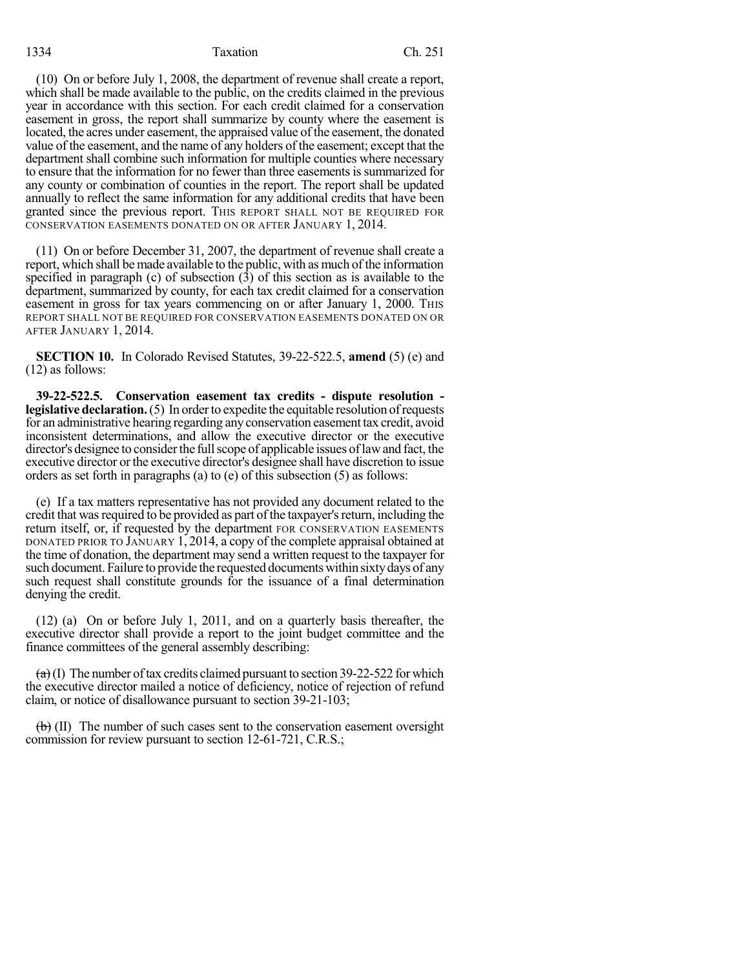(10) On or before July 1, 2008, the department of revenue shall create a report, which shall be made available to the public, on the credits claimed in the previous year in accordance with this section. For each credit claimed for a conservation easement in gross, the report shall summarize by county where the easement is located, the acres under easement, the appraised value of the easement, the donated value of the easement, and the name of any holders of the easement; except that the department shall combine such information for multiple counties where necessary to ensure that the information for no fewer than three easements is summarized for any county or combination of counties in the report. The report shall be updated annually to reflect the same information for any additional credits that have been granted since the previous report. THIS REPORT SHALL NOT BE REQUIRED FOR CONSERVATION EASEMENTS DONATED ON OR AFTER JANUARY 1, 2014.

(11) On or before December 31, 2007, the department of revenue shall create a report, which shall be made available to the public, with as much of the information specified in paragraph (c) of subsection  $(3)$  of this section as is available to the department, summarized by county, for each tax credit claimed for a conservation easement in gross for tax years commencing on or after January 1, 2000. This REPORT SHALL NOT BE REQUIRED FOR CONSERVATION EASEMENTS DONATED ON OR AFTER JANUARY 1, 2014.

**SECTION 10.** In Colorado Revised Statutes, 39-22-522.5, **amend** (5) (e) and (12) as follows:

**39-22-522.5. Conservation easement tax credits - dispute resolution legislative declaration.** (5) In order to expedite the equitable resolution of requests for an administrative hearing regarding any conservation easement tax credit, avoid inconsistent determinations, and allow the executive director or the executive director's designee to consider the full scope of applicable issues of law and fact, the executive director or the executive director's designee shall have discretion to issue orders as set forth in paragraphs (a) to (e) of this subsection (5) as follows:

(e) If a tax matters representative has not provided any document related to the credit that was required to be provided as part of the taxpayer's return, including the return itself, or, if requested by the department FOR CONSERVATION EASEMENTS DONATED PRIOR TO JANUARY 1, 2014, a copy of the complete appraisal obtained at the time of donation, the department may send a written request to the taxpayer for such document. Failure to provide the requested documents within sixty days of any such request shall constitute grounds for the issuance of a final determination denying the credit.

(12) (a) On or before July 1, 2011, and on a quarterly basis thereafter, the executive director shall provide a report to the joint budget committee and the finance committees of the general assembly describing:

 $\overleftrightarrow{(a)}$  (I) The number of tax credits claimed pursuant to section 39-22-522 for which the executive director mailed a notice of deficiency, notice of rejection of refund claim, or notice of disallowance pursuant to section 39-21-103;

 $\left(\mathbf{b}\right)$  (II) The number of such cases sent to the conservation easement oversight commission for review pursuant to section 12-61-721, C.R.S.;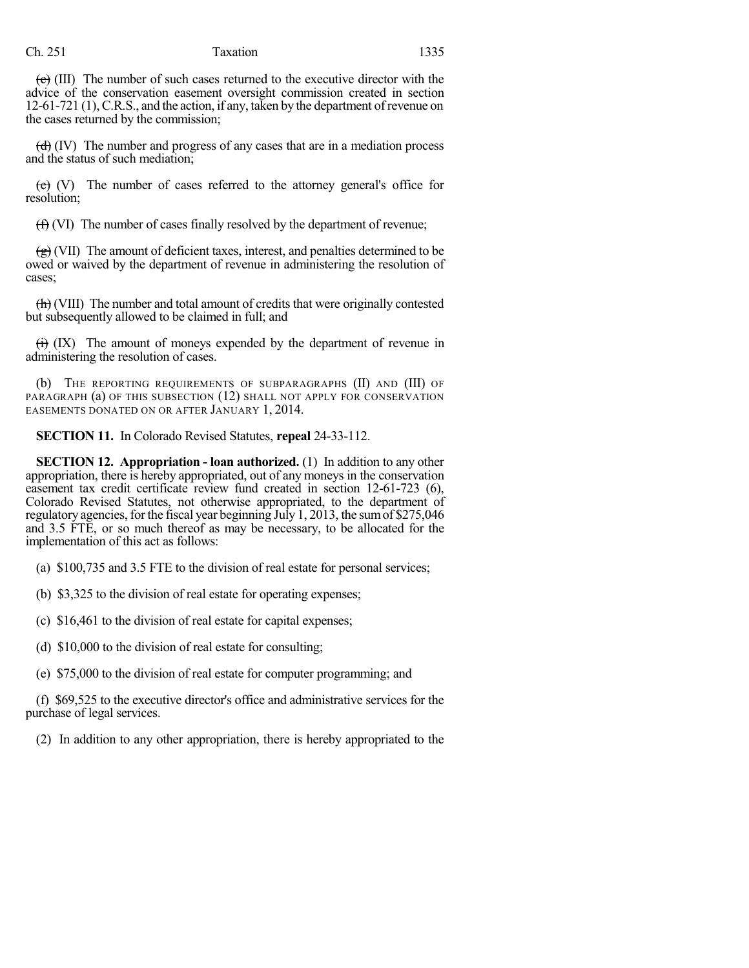$\left(\frac{1}{k}\right)$  (III) The number of such cases returned to the executive director with the advice of the conservation easement oversight commission created in section 12-61-721 (1),C.R.S., and the action, if any, taken by the department ofrevenue on the cases returned by the commission;

 $(d)$  (IV) The number and progress of any cases that are in a mediation process and the status of such mediation;

 $\overline{(e)}$  (V) The number of cases referred to the attorney general's office for resolution;

(f) (VI) The number of cases finally resolved by the department of revenue;

 $\left(\frac{g}{g}\right)$  (VII) The amount of deficient taxes, interest, and penalties determined to be owed or waived by the department of revenue in administering the resolution of cases;

(h) (VIII) The number and total amount of credits that were originally contested but subsequently allowed to be claimed in full; and

 $\overrightarrow{(ii)}$  (IX) The amount of moneys expended by the department of revenue in administering the resolution of cases.

(b) THE REPORTING REQUIREMENTS OF SUBPARAGRAPHS (II) AND (III) OF PARAGRAPH (a) OF THIS SUBSECTION (12) SHALL NOT APPLY FOR CONSERVATION EASEMENTS DONATED ON OR AFTER JANUARY 1, 2014.

**SECTION 11.** In Colorado Revised Statutes, **repeal** 24-33-112.

**SECTION 12. Appropriation - loan authorized.** (1) In addition to any other appropriation, there is hereby appropriated, out of any moneys in the conservation easement tax credit certificate review fund created in section 12-61-723 (6), Colorado Revised Statutes, not otherwise appropriated, to the department of regulatory agencies, for the fiscal year beginning July 1, 2013, the sum of  $$275,046$ and 3.5 FTE, or so much thereof as may be necessary, to be allocated for the implementation of this act as follows:

(a) \$100,735 and 3.5 FTE to the division of real estate for personal services;

(b) \$3,325 to the division of real estate for operating expenses;

(c) \$16,461 to the division of real estate for capital expenses;

(d) \$10,000 to the division of real estate for consulting;

(e) \$75,000 to the division of real estate for computer programming; and

(f) \$69,525 to the executive director's office and administrative services for the purchase of legal services.

(2) In addition to any other appropriation, there is hereby appropriated to the